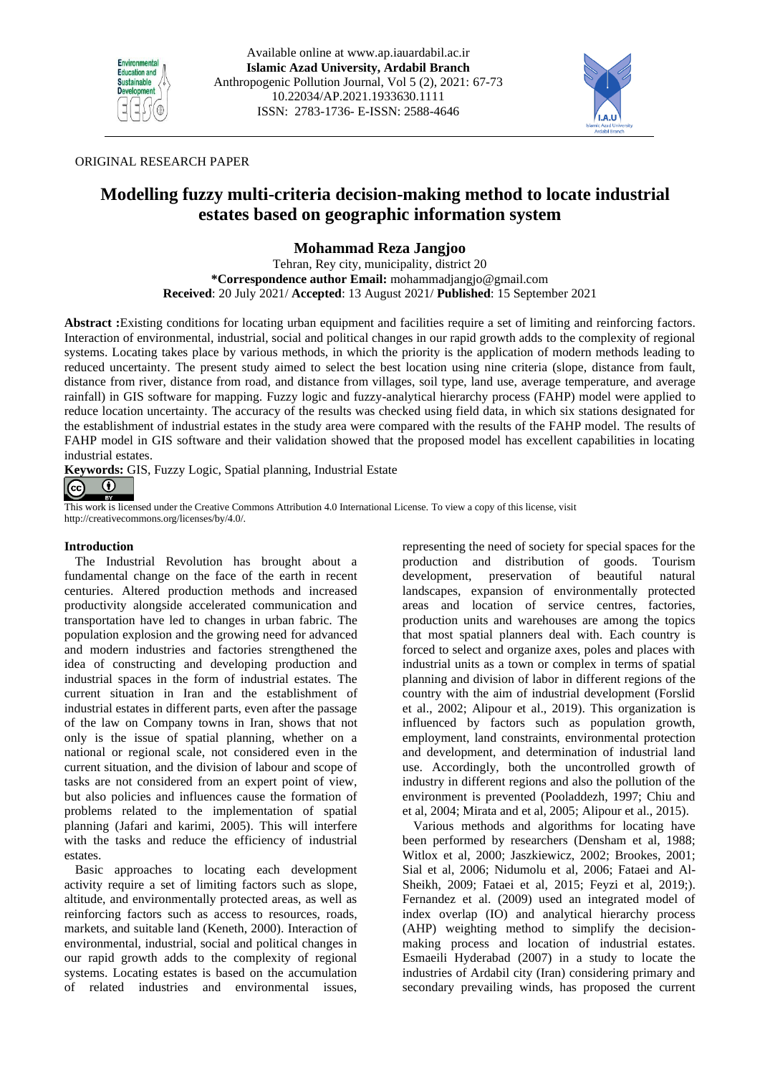



## ORIGINAL RESEARCH PAPER

# **Modelling fuzzy multi-criteria decision-making method to locate industrial estates based on geographic information system**

**Mohammad Reza Jangjoo**

Tehran, Rey city, municipality, district 20 **\*Correspondence author Email:** [mohammadjangjo@gmail.com](mailto:mohammadjangjo@gmail.com) **Received**: 20 July 2021/ **Accepted**: 13 August 2021/ **Published**: 15 September 2021

**Abstract :**Existing conditions for locating urban equipment and facilities require a set of limiting and reinforcing factors. Interaction of environmental, industrial, social and political changes in our rapid growth adds to the complexity of regional systems. Locating takes place by various methods, in which the priority is the application of modern methods leading to reduced uncertainty. The present study aimed to select the best location using nine criteria (slope, distance from fault, distance from river, distance from road, and distance from villages, soil type, land use, average temperature, and average rainfall) in GIS software for mapping. Fuzzy logic and fuzzy-analytical hierarchy process (FAHP) model were applied to reduce location uncertainty. The accuracy of the results was checked using field data, in which six stations designated for the establishment of industrial estates in the study area were compared with the results of the FAHP model. The results of FAHP model in GIS software and their validation showed that the proposed model has excellent capabilities in locating industrial estates.

**Keywords:** GIS, Fuzzy Logic, Spatial planning, Industrial Estate

#### $\bf{0}$  $\left( \infty \right)$

This work is licensed under the Creative Commons Attribution 4.0 International License. To view a copy of this license, visit http://creativecommons.org/licenses/by/4.0/.

## **Introduction**

The Industrial Revolution has brought about a fundamental change on the face of the earth in recent centuries. Altered production methods and increased productivity alongside accelerated communication and transportation have led to changes in urban fabric. The population explosion and the growing need for advanced and modern industries and factories strengthened the idea of constructing and developing production and industrial spaces in the form of industrial estates. The current situation in Iran and the establishment of industrial estates in different parts, even after the passage of the law on Company towns in Iran, shows that not only is the issue of spatial planning, whether on a national or regional scale, not considered even in the current situation, and the division of labour and scope of tasks are not considered from an expert point of view, but also policies and influences cause the formation of problems related to the implementation of spatial planning (Jafari and karimi, 2005). This will interfere with the tasks and reduce the efficiency of industrial estates.

Basic approaches to locating each development activity require a set of limiting factors such as slope, altitude, and environmentally protected areas, as well as reinforcing factors such as access to resources, roads, markets, and suitable land (Keneth, 2000). Interaction of environmental, industrial, social and political changes in our rapid growth adds to the complexity of regional systems. Locating estates is based on the accumulation of related industries and environmental issues,

representing the need of society for special spaces for the production and distribution of goods. Tourism development, preservation of beautiful natural landscapes, expansion of environmentally protected areas and location of service centres, factories, production units and warehouses are among the topics that most spatial planners deal with. Each country is forced to select and organize axes, poles and places with industrial units as a town or complex in terms of spatial planning and division of labor in different regions of the country with the aim of industrial development (Forslid et al., 2002; Alipour et al., 2019). This organization is influenced by factors such as population growth, employment, land constraints, environmental protection and development, and determination of industrial land use. Accordingly, both the uncontrolled growth of industry in different regions and also the pollution of the environment is prevented (Pooladdezh, 1997; Chiu and et al, 2004; Mirata and et al, 2005; Alipour et al., 2015).

Various methods and algorithms for locating have been performed by researchers (Densham et al, 1988; Witlox et al, 2000; Jaszkiewicz, 2002; Brookes, 2001; Sial et al, 2006; Nidumolu et al, 2006; Fataei and Al-Sheikh, 2009; Fataei et al, 2015; Feyzi et al, 2019;). Fernandez et al. (2009) used an integrated model of index overlap (IO) and analytical hierarchy process (AHP) weighting method to simplify the decisionmaking process and location of industrial estates. Esmaeili Hyderabad (2007) in a study to locate the industries of Ardabil city (Iran) considering primary and secondary prevailing winds, has proposed the current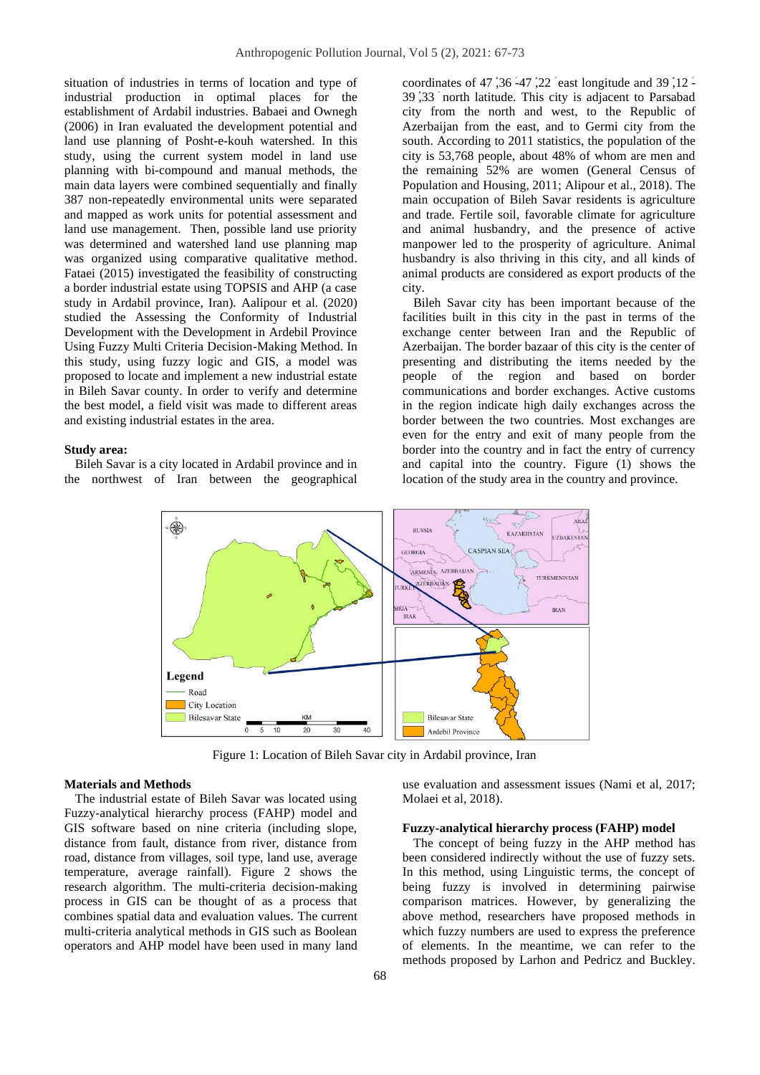situation of industries in terms of location and type of industrial production in optimal places for the establishment of Ardabil industries. Babaei and Ownegh (2006) in Iran evaluated the development potential and land use planning of Posht-e-kouh watershed. In this study, using the current system model in land use planning with bi-compound and manual methods, the main data layers were combined sequentially and finally 387 non-repeatedly environmental units were separated and mapped as work units for potential assessment and land use management. Then, possible land use priority was determined and watershed land use planning map was organized using comparative qualitative method. Fataei (2015) investigated the feasibility of constructing a border industrial estate using TOPSIS and AHP (a case study in Ardabil province, Iran). Aalipour et al. (2020) studied the Assessing the Conformity of Industrial Development with the Development in Ardebil Province Using Fuzzy Multi Criteria Decision-Making Method. In this study, using fuzzy logic and GIS, a model was proposed to locate and implement a new industrial estate in Bileh Savar county. In order to verify and determine the best model, a field visit was made to different areas and existing industrial estates in the area.

#### **Study area:**

Bileh Savar is a city located in Ardabil province and in the northwest of Iran between the geographical

coordinates of 47  $36 - 47$   $22$  east longitude and 39  $12 - 5$ 39 ْ,33 َ north latitude. This city is adjacent to Parsabad city from the north and west, to the Republic of Azerbaijan from the east, and to Germi city from the south. According to 2011 statistics, the population of the city is 53,768 people, about 48% of whom are men and the remaining 52% are women (General Census of Population and Housing, 2011; Alipour et al., 2018). The main occupation of Bileh Savar residents is agriculture and trade. Fertile soil, favorable climate for agriculture and animal husbandry, and the presence of active manpower led to the prosperity of agriculture. Animal husbandry is also thriving in this city, and all kinds of animal products are considered as export products of the city.

Bileh Savar city has been important because of the facilities built in this city in the past in terms of the exchange center between Iran and the Republic of Azerbaijan. The border bazaar of this city is the center of presenting and distributing the items needed by the people of the region and based on border communications and border exchanges. Active customs in the region indicate high daily exchanges across the border between the two countries. Most exchanges are even for the entry and exit of many people from the border into the country and in fact the entry of currency and capital into the country. Figure (1) shows the location of the study area in the country and province.



Figure 1: Location of Bileh Savar city in Ardabil province, Iran

### **Materials and Methods**

The industrial estate of Bileh Savar was located using Fuzzy-analytical hierarchy process (FAHP) model and GIS software based on nine criteria (including slope, distance from fault, distance from river, distance from road, distance from villages, soil type, land use, average temperature, average rainfall). Figure 2 shows the research algorithm. The multi-criteria decision-making process in GIS can be thought of as a process that combines spatial data and evaluation values. The current multi-criteria analytical methods in GIS such as Boolean operators and AHP model have been used in many land

use evaluation and assessment issues (Nami et al, 2017; Molaei et al, 2018).

### **Fuzzy-analytical hierarchy process (FAHP) model**

The concept of being fuzzy in the AHP method has been considered indirectly without the use of fuzzy sets. In this method, using Linguistic terms, the concept of being fuzzy is involved in determining pairwise comparison matrices. However, by generalizing the above method, researchers have proposed methods in which fuzzy numbers are used to express the preference of elements. In the meantime, we can refer to the methods proposed by Larhon and Pedricz and Buckley.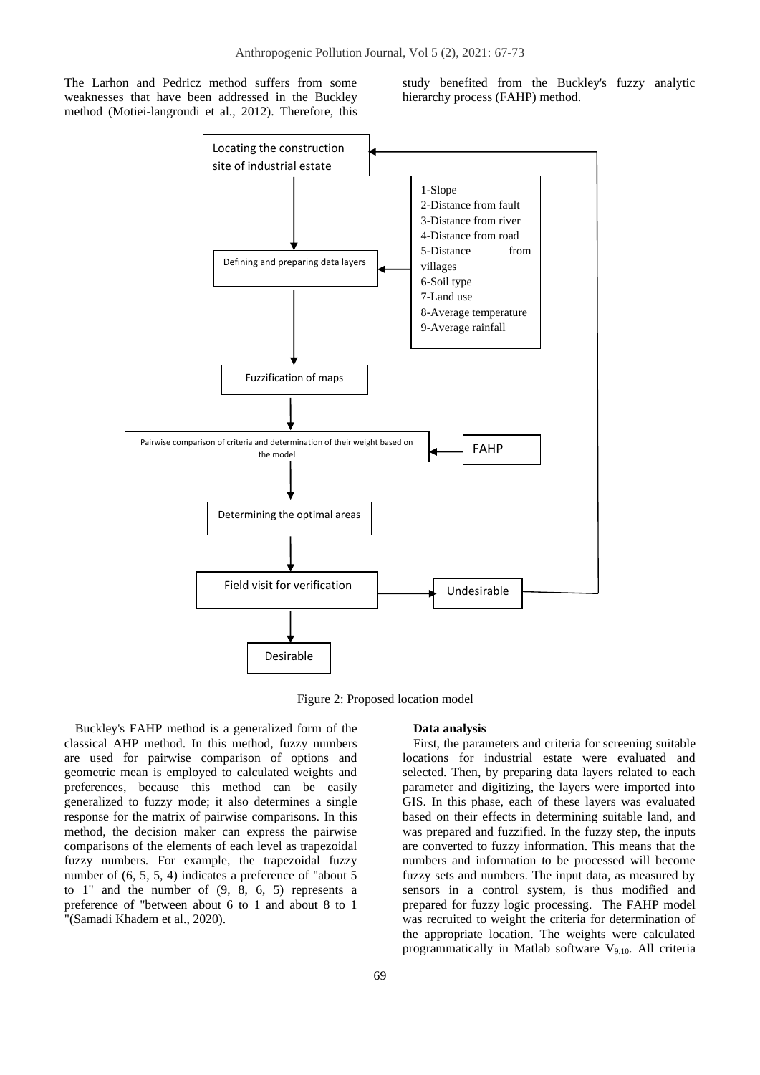The Larhon and Pedricz method suffers from some weaknesses that have been addressed in the Buckley method (Motiei-langroudi et al., 2012). Therefore, this study benefited from the Buckley's fuzzy analytic hierarchy process (FAHP) method.



Figure 2: Proposed location model

Buckley's FAHP method is a generalized form of the classical AHP method. In this method, fuzzy numbers are used for pairwise comparison of options and geometric mean is employed to calculated weights and preferences, because this method can be easily generalized to fuzzy mode; it also determines a single response for the matrix of pairwise comparisons. In this method, the decision maker can express the pairwise comparisons of the elements of each level as trapezoidal fuzzy numbers. For example, the trapezoidal fuzzy number of  $(6, 5, 5, 4)$  indicates a preference of "about 5" to 1" and the number of (9, 8, 6, 5) represents a preference of "between about 6 to 1 and about 8 to 1 "(Samadi Khadem et al., 2020).

#### **Data analysis**

First, the parameters and criteria for screening suitable locations for industrial estate were evaluated and selected. Then, by preparing data layers related to each parameter and digitizing, the layers were imported into GIS. In this phase, each of these layers was evaluated based on their effects in determining suitable land, and was prepared and fuzzified. In the fuzzy step, the inputs are converted to fuzzy information. This means that the numbers and information to be processed will become fuzzy sets and numbers. The input data, as measured by sensors in a control system, is thus modified and prepared for fuzzy logic processing. The FAHP model was recruited to weight the criteria for determination of the appropriate location. The weights were calculated programmatically in Matlab software  $V_{9,10}$ . All criteria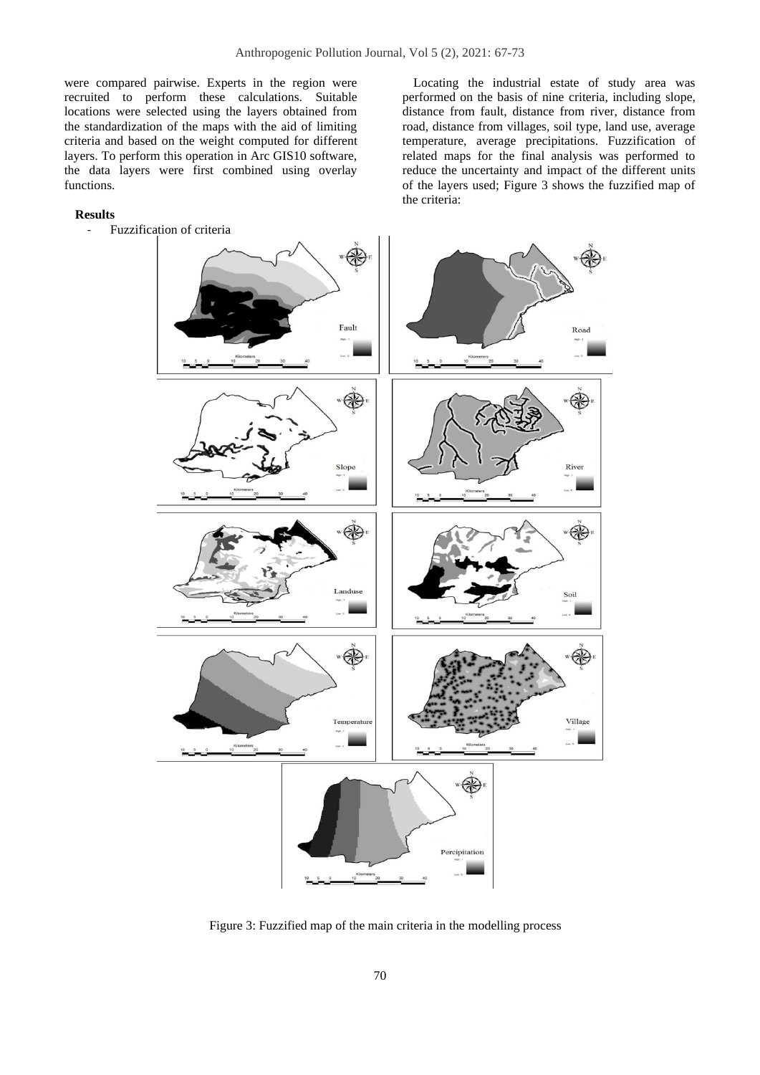were compared pairwise. Experts in the region were recruited to perform these calculations. Suitable locations were selected using the layers obtained from the standardization of the maps with the aid of limiting criteria and based on the weight computed for different layers. To perform this operation in Arc GIS10 software, the data layers were first combined using overlay functions.

### **Results**

Fuzzification of criteria

Locating the industrial estate of study area was performed on the basis of nine criteria, including slope, distance from fault, distance from river, distance from road, distance from villages, soil type, land use, average temperature, average precipitations. Fuzzification of related maps for the final analysis was performed to reduce the uncertainty and impact of the different units of the layers used; Figure 3 shows the fuzzified map of the criteria:



Figure 3: Fuzzified map of the main criteria in the modelling process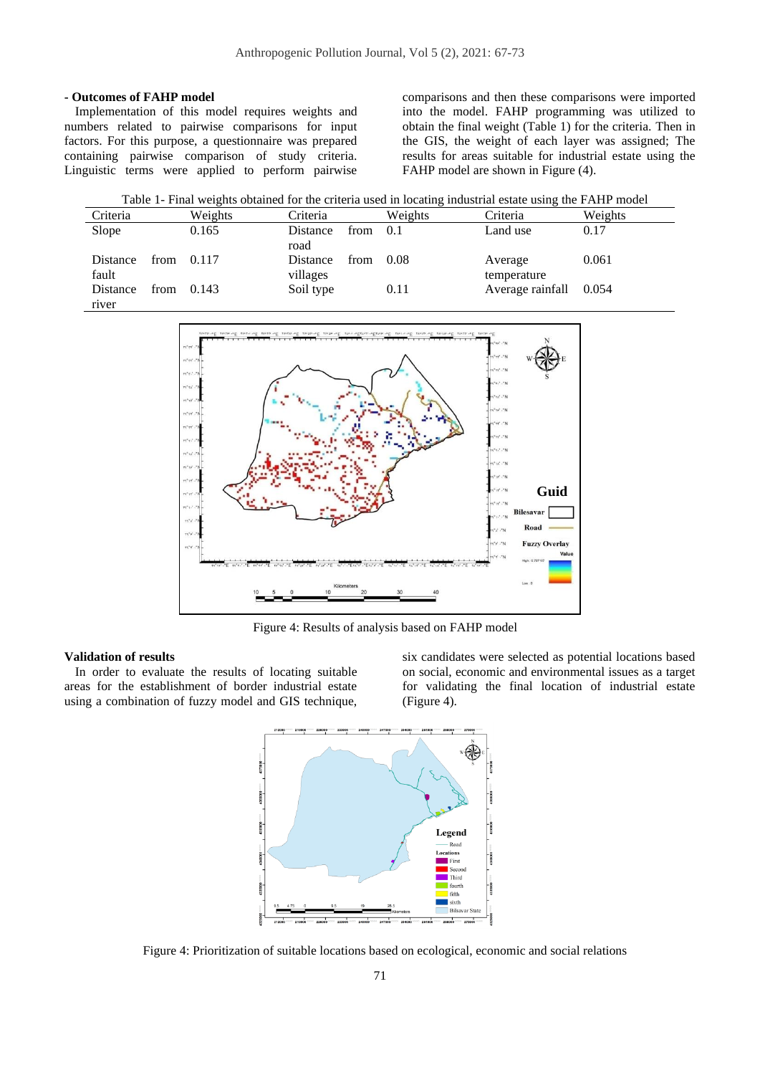## **- Outcomes of FAHP model**

Implementation of this model requires weights and numbers related to pairwise comparisons for input factors. For this purpose, a questionnaire was prepared containing pairwise comparison of study criteria. Linguistic terms were applied to perform pairwise

comparisons and then these comparisons were imported into the model. FAHP programming was utilized to obtain the final weight (Table 1) for the criteria. Then in the GIS, the weight of each layer was assigned; The results for areas suitable for industrial estate using the FAHP model are shown in Figure (4).

| Table 1- Final weights obtained for the criteria used in locating industrial estate using the FAHP model |  |
|----------------------------------------------------------------------------------------------------------|--|
|----------------------------------------------------------------------------------------------------------|--|

| Criteria |      | Weights | Criteria  |      | Weights | Criteria         | Weights |
|----------|------|---------|-----------|------|---------|------------------|---------|
| Slope    |      | 0.165   | Distance  | from | 0.1     | Land use         | 0.17    |
|          |      |         | road      |      |         |                  |         |
| Distance | from | 0.117   | Distance  | from | 0.08    | Average          | 0.061   |
| fault    |      |         | villages  |      |         | temperature      |         |
| Distance | from | 0.143   | Soil type |      | 0.11    | Average rainfall | 0.054   |
| river    |      |         |           |      |         |                  |         |



Figure 4: Results of analysis based on FAHP model

## **Validation of results**

In order to evaluate the results of locating suitable areas for the establishment of border industrial estate using a combination of fuzzy model and GIS technique,

six candidates were selected as potential locations based on social, economic and environmental issues as a target for validating the final location of industrial estate (Figure 4).



Figure 4: Prioritization of suitable locations based on ecological, economic and social relations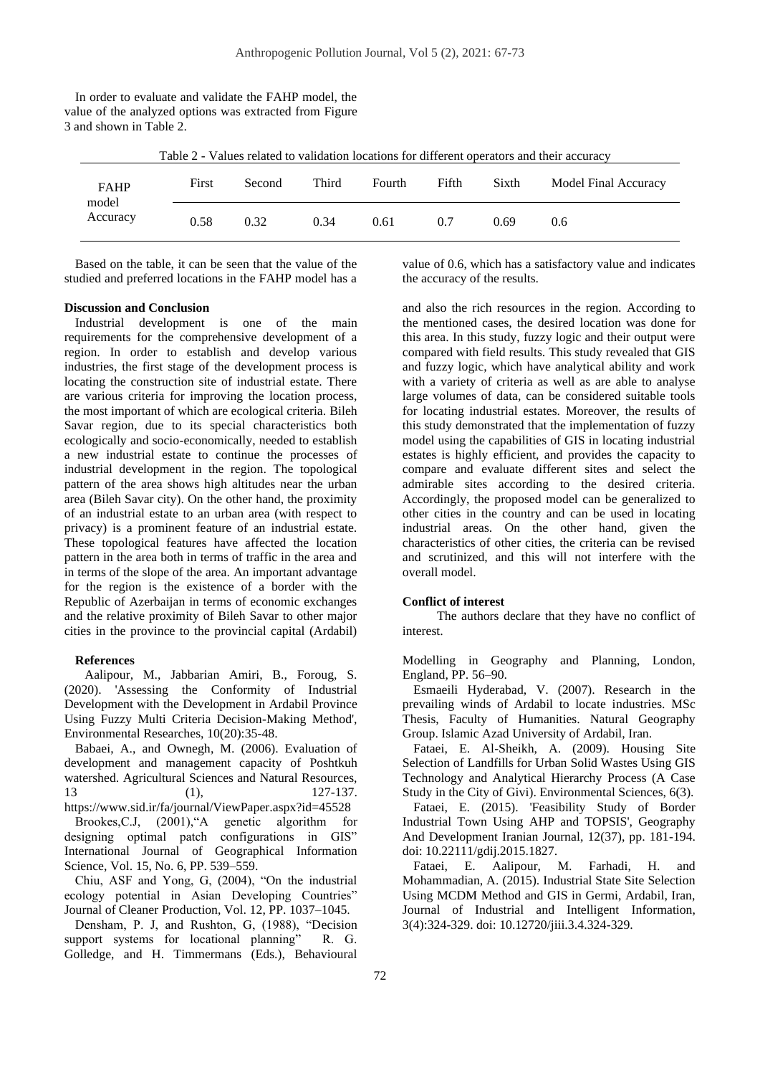| Table 2 - Values related to validation locations for different operators and their accuracy |       |  |        |       |        |       |       |                      |  |
|---------------------------------------------------------------------------------------------|-------|--|--------|-------|--------|-------|-------|----------------------|--|
| <b>FAHP</b><br>model<br>Accuracy                                                            | First |  | Second | Third | Fourth | Fifth | Sixth | Model Final Accuracy |  |
|                                                                                             | 0.58  |  | 0.32   | 0.34  | 0.61   | 0.7   | 0.69  | 0.6                  |  |

In order to evaluate and validate the FAHP model, the value of the analyzed options was extracted from Figure 3 and shown in Table 2.

Based on the table, it can be seen that the value of the studied and preferred locations in the FAHP model has a

#### **Discussion and Conclusion**

Industrial development is one of the main requirements for the comprehensive development of a region. In order to establish and develop various industries, the first stage of the development process is locating the construction site of industrial estate. There are various criteria for improving the location process, the most important of which are ecological criteria. Bileh Savar region, due to its special characteristics both ecologically and socio-economically, needed to establish a new industrial estate to continue the processes of industrial development in the region. The topological pattern of the area shows high altitudes near the urban area (Bileh Savar city). On the other hand, the proximity of an industrial estate to an urban area (with respect to privacy) is a prominent feature of an industrial estate. These topological features have affected the location pattern in the area both in terms of traffic in the area and in terms of the slope of the area. An important advantage for the region is the existence of a border with the Republic of Azerbaijan in terms of economic exchanges and the relative proximity of Bileh Savar to other major cities in the province to the provincial capital (Ardabil)

#### **References**

 Aalipour, M., Jabbarian Amiri, B., Foroug, S. (2020). 'Assessing the Conformity of Industrial Development with the Development in Ardabil Province Using Fuzzy Multi Criteria Decision-Making Method', Environmental Researches, 10(20):35-48.

Babaei, A., and Ownegh, M. (2006). Evaluation of development and management capacity of Poshtkuh watershed. Agricultural Sciences and Natural Resources, 13 (1), 127-137. https://www.sid.ir/fa/journal/ViewPaper.aspx?id=45528 Brookes,C.J, (2001),"A genetic algorithm for designing optimal patch configurations in GIS" International Journal of Geographical Information Science, Vol. 15, No. 6, PP. 539–559.

Chiu, ASF and Yong, G, (2004), "On the industrial ecology potential in Asian Developing Countries" Journal of Cleaner Production, Vol. 12, PP. 1037–1045.

Densham, P. J, and Rushton, G, (1988), "Decision support systems for locational planning" R. G. Golledge, and H. Timmermans (Eds.), Behavioural

value of 0.6, which has a satisfactory value and indicates the accuracy of the results.

and also the rich resources in the region. According to the mentioned cases, the desired location was done for this area. In this study, fuzzy logic and their output were compared with field results. This study revealed that GIS and fuzzy logic, which have analytical ability and work with a variety of criteria as well as are able to analyse large volumes of data, can be considered suitable tools for locating industrial estates. Moreover, the results of this study demonstrated that the implementation of fuzzy model using the capabilities of GIS in locating industrial estates is highly efficient, and provides the capacity to compare and evaluate different sites and select the admirable sites according to the desired criteria. Accordingly, the proposed model can be generalized to other cities in the country and can be used in locating industrial areas. On the other hand, given the characteristics of other cities, the criteria can be revised and scrutinized, and this will not interfere with the overall model.

#### **Conflict of interest**

The authors declare that they have no conflict of interest.

Modelling in Geography and Planning, London, England, PP. 56–90.

Esmaeili Hyderabad, V. (2007). Research in the prevailing winds of Ardabil to locate industries. MSc Thesis, Faculty of Humanities. Natural Geography Group. Islamic Azad University of Ardabil, Iran.

Fataei, E. Al-Sheikh, A. (2009). Housing Site Selection of Landfills for Urban Solid Wastes Using GIS Technology and Analytical Hierarchy Process (A Case Study in the City of Givi). Environmental Sciences, 6(3).

Fataei, E. (2015). 'Feasibility Study of Border Industrial Town Using AHP and TOPSIS', Geography And Development Iranian Journal, 12(37), pp. 181-194. doi: 10.22111/gdij.2015.1827.

Fataei, E. Aalipour, M. Farhadi, H. and Mohammadian, A. (2015). Industrial State Site Selection Using MCDM Method and GIS in Germi, Ardabil, Iran, Journal of Industrial and Intelligent Information, 3(4):324-329. doi: 10.12720/jiii.3.4.324-329.